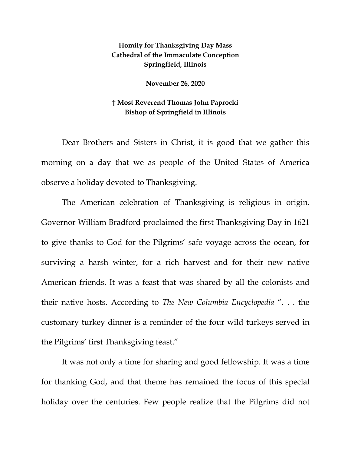## **Homily for Thanksgiving Day Mass Cathedral of the Immaculate Conception Springfield, Illinois**

**November 26, 2020**

## **† Most Reverend Thomas John Paprocki Bishop of Springfield in Illinois**

Dear Brothers and Sisters in Christ, it is good that we gather this morning on a day that we as people of the United States of America observe a holiday devoted to Thanksgiving.

The American celebration of Thanksgiving is religious in origin. Governor William Bradford proclaimed the first Thanksgiving Day in 1621 to give thanks to God for the Pilgrims' safe voyage across the ocean, for surviving a harsh winter, for a rich harvest and for their new native American friends. It was a feast that was shared by all the colonists and their native hosts. According to *The New Columbia Encyclopedia* ". . . the customary turkey dinner is a reminder of the four wild turkeys served in the Pilgrims' first Thanksgiving feast."

It was not only a time for sharing and good fellowship. It was a time for thanking God, and that theme has remained the focus of this special holiday over the centuries. Few people realize that the Pilgrims did not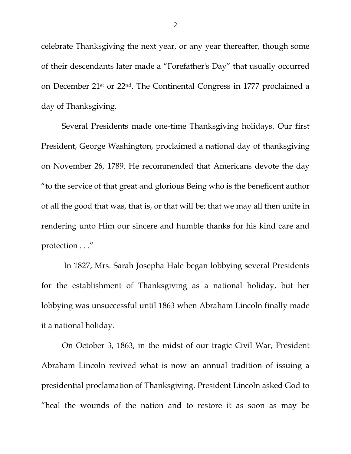celebrate Thanksgiving the next year, or any year thereafter, though some of their descendants later made a "Forefather's Day" that usually occurred on December 21st or 22nd. The Continental Congress in 1777 proclaimed a day of Thanksgiving.

Several Presidents made one-time Thanksgiving holidays. Our first President, George Washington, proclaimed a national day of thanksgiving on November 26, 1789. He recommended that Americans devote the day "to the service of that great and glorious Being who is the beneficent author of all the good that was, that is, or that will be; that we may all then unite in rendering unto Him our sincere and humble thanks for his kind care and protection . . ."

In 1827, Mrs. Sarah Josepha Hale began lobbying several Presidents for the establishment of Thanksgiving as a national holiday, but her lobbying was unsuccessful until 1863 when Abraham Lincoln finally made it a national holiday.

On October 3, 1863, in the midst of our tragic Civil War, President Abraham Lincoln revived what is now an annual tradition of issuing a presidential proclamation of Thanksgiving. President Lincoln asked God to "heal the wounds of the nation and to restore it as soon as may be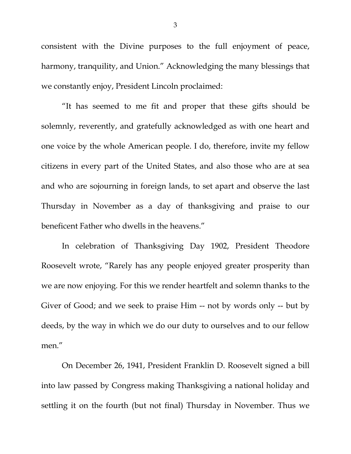consistent with the Divine purposes to the full enjoyment of peace, harmony, tranquility, and Union." Acknowledging the many blessings that we constantly enjoy, President Lincoln proclaimed:

"It has seemed to me fit and proper that these gifts should be solemnly, reverently, and gratefully acknowledged as with one heart and one voice by the whole American people. I do, therefore, invite my fellow citizens in every part of the United States, and also those who are at sea and who are sojourning in foreign lands, to set apart and observe the last Thursday in November as a day of thanksgiving and praise to our beneficent Father who dwells in the heavens."

In celebration of Thanksgiving Day 1902, President Theodore Roosevelt wrote, "Rarely has any people enjoyed greater prosperity than we are now enjoying. For this we render heartfelt and solemn thanks to the Giver of Good; and we seek to praise Him -- not by words only -- but by deeds, by the way in which we do our duty to ourselves and to our fellow men."

On December 26, 1941, President Franklin D. Roosevelt signed a bill into law passed by Congress making Thanksgiving a national holiday and settling it on the fourth (but not final) Thursday in November. Thus we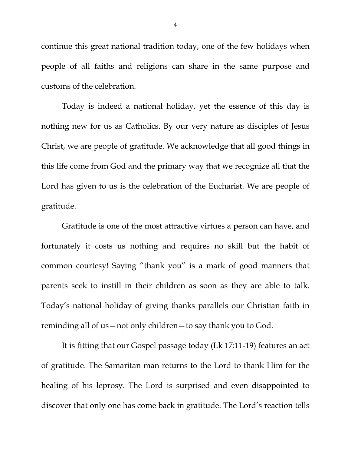continue this great national tradition today, one of the few holidays when people of all faiths and religions can share in the same purpose and customs of the celebration.

Today is indeed a national holiday, yet the essence of this day is nothing new for us as Catholics. By our very nature as disciples of Jesus Christ, we are people of gratitude. We acknowledge that all good things in this life come from God and the primary way that we recognize all that the Lord has given to us is the celebration of the Eucharist. We are people of gratitude.

Gratitude is one of the most attractive virtues a person can have, and fortunately it costs us nothing and requires no skill but the habit of common courtesy! Saying "thank you" is a mark of good manners that parents seek to instill in their children as soon as they are able to talk. Today's national holiday of giving thanks parallels our Christian faith in reminding all of us—not only children—to say thank you to God.

It is fitting that our Gospel passage today (Lk 17:11-19) features an act of gratitude. The Samaritan man returns to the Lord to thank Him for the healing of his leprosy. The Lord is surprised and even disappointed to discover that only one has come back in gratitude. The Lord's reaction tells

4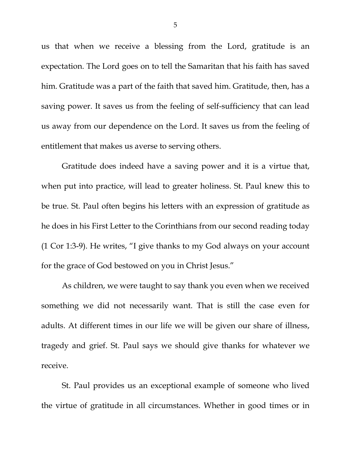us that when we receive a blessing from the Lord, gratitude is an expectation. The Lord goes on to tell the Samaritan that his faith has saved him. Gratitude was a part of the faith that saved him. Gratitude, then, has a saving power. It saves us from the feeling of self-sufficiency that can lead us away from our dependence on the Lord. It saves us from the feeling of entitlement that makes us averse to serving others.

Gratitude does indeed have a saving power and it is a virtue that, when put into practice, will lead to greater holiness. St. Paul knew this to be true. St. Paul often begins his letters with an expression of gratitude as he does in his First Letter to the Corinthians from our second reading today (1 Cor 1:3-9). He writes, "I give thanks to my God always on your account for the grace of God bestowed on you in Christ Jesus."

As children, we were taught to say thank you even when we received something we did not necessarily want. That is still the case even for adults. At different times in our life we will be given our share of illness, tragedy and grief. St. Paul says we should give thanks for whatever we receive.

St. Paul provides us an exceptional example of someone who lived the virtue of gratitude in all circumstances. Whether in good times or in

5